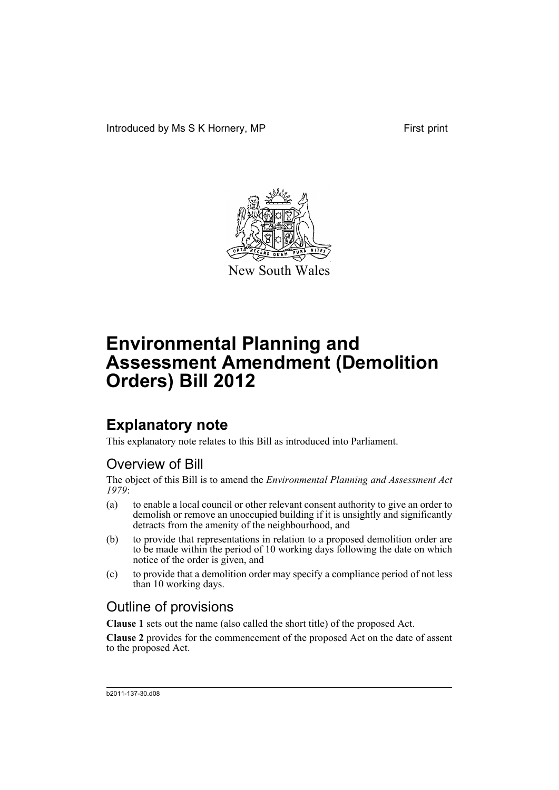

New South Wales

## **Explanatory note**

This explanatory note relates to this Bill as introduced into Parliament.

### Overview of Bill

The object of this Bill is to amend the *Environmental Planning and Assessment Act 1979*:

- (a) to enable a local council or other relevant consent authority to give an order to demolish or remove an unoccupied building if it is unsightly and significantly detracts from the amenity of the neighbourhood, and
- (b) to provide that representations in relation to a proposed demolition order are to be made within the period of 10 working days following the date on which notice of the order is given, and
- (c) to provide that a demolition order may specify a compliance period of not less than 10 working days.

### Outline of provisions

**Clause 1** sets out the name (also called the short title) of the proposed Act.

**Clause 2** provides for the commencement of the proposed Act on the date of assent to the proposed Act.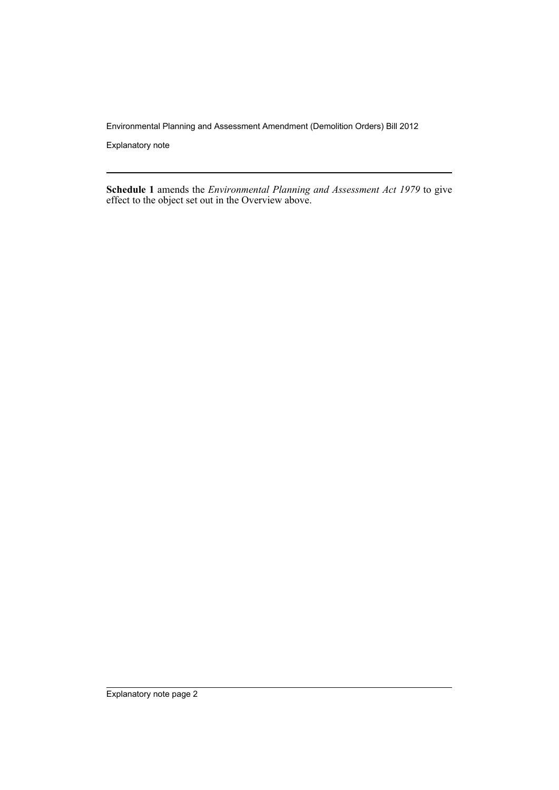Explanatory note

**Schedule 1** amends the *Environmental Planning and Assessment Act 1979* to give effect to the object set out in the Overview above.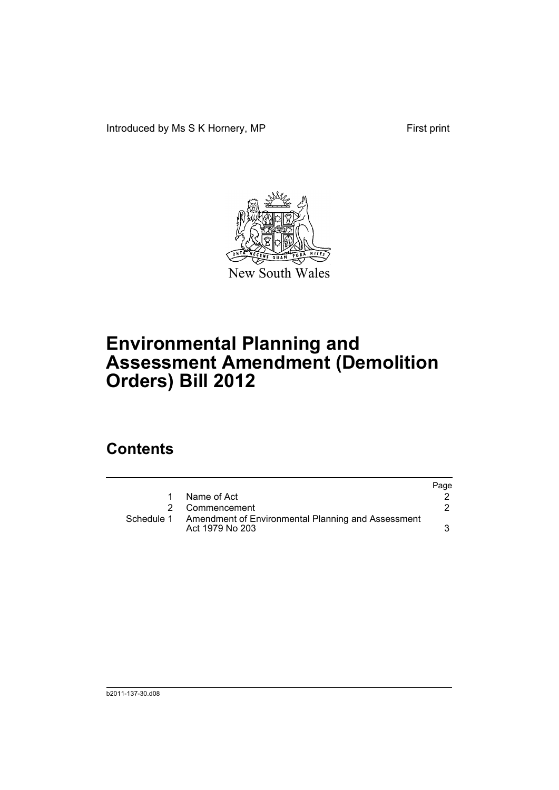Introduced by Ms S K Hornery, MP First print



# **Environmental Planning and Assessment Amendment (Demolition Orders) Bill 2012**

## **Contents**

|            |                                                                       | Page |
|------------|-----------------------------------------------------------------------|------|
| 1          | Name of Act                                                           |      |
|            | 2 Commencement                                                        |      |
| Schedule 1 | Amendment of Environmental Planning and Assessment<br>Act 1979 No 203 |      |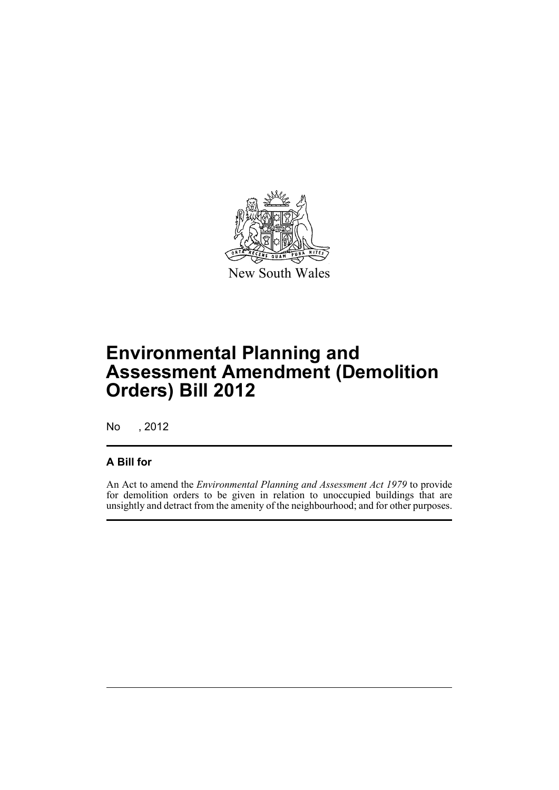

No , 2012

#### **A Bill for**

An Act to amend the *Environmental Planning and Assessment Act 1979* to provide for demolition orders to be given in relation to unoccupied buildings that are unsightly and detract from the amenity of the neighbourhood; and for other purposes.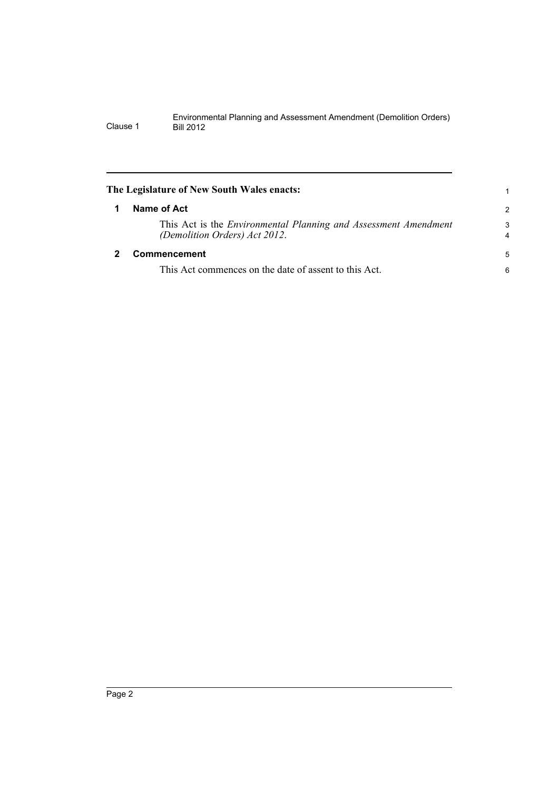<span id="page-5-1"></span><span id="page-5-0"></span>

|   | The Legislature of New South Wales enacts:                                                       |                     |
|---|--------------------------------------------------------------------------------------------------|---------------------|
| 1 | Name of Act                                                                                      | 2                   |
|   | This Act is the Environmental Planning and Assessment Amendment<br>(Demolition Orders) Act 2012. | 3<br>$\overline{4}$ |
|   | Commencement                                                                                     | 5                   |
|   | This Act commences on the date of assent to this Act.                                            | 6                   |